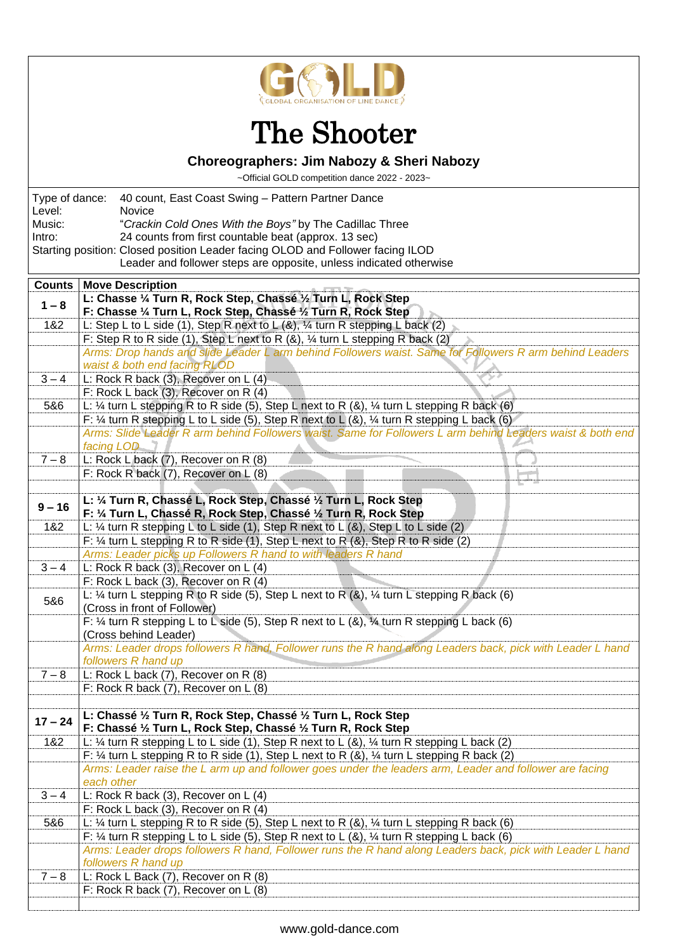

## The Shooter

## **Choreographers: Jim Nabozy & Sheri Nabozy**

~Official GOLD competition dance 2022 - 2023~

|                                                                      | Holdi OOLD componion dance Lolle Eclec                                                                                                  |  |
|----------------------------------------------------------------------|-----------------------------------------------------------------------------------------------------------------------------------------|--|
| Type of dance:<br>40 count, East Coast Swing - Pattern Partner Dance |                                                                                                                                         |  |
| Level:                                                               | Novice                                                                                                                                  |  |
| Music:                                                               | "Crackin Cold Ones With the Boys" by The Cadillac Three                                                                                 |  |
| Intro:                                                               | 24 counts from first countable beat (approx. 13 sec)                                                                                    |  |
|                                                                      | Starting position: Closed position Leader facing OLOD and Follower facing ILOD                                                          |  |
| Leader and follower steps are opposite, unless indicated otherwise   |                                                                                                                                         |  |
| <b>Counts</b>                                                        | <b>Move Description</b>                                                                                                                 |  |
| $1 - 8$                                                              | L: Chasse 1/4 Turn R, Rock Step, Chassé 1/2 Turn L, Rock Step<br>F: Chasse 1/4 Turn L, Rock Step, Chassé 1/2 Turn R, Rock Step          |  |
| 1&2                                                                  |                                                                                                                                         |  |
|                                                                      | L: Step L to L side (1), Step R next to L (&), 1/4 turn R stepping L back (2)                                                           |  |
|                                                                      | F: Step R to R side (1), Step L next to R $(8)$ , $\frac{1}{4}$ turn L stepping R back (2)                                              |  |
|                                                                      | Arms: Drop hands and slide Leader L arm behind Followers waist. Same for Followers R arm behind Leaders<br>waist & both end facing RLOD |  |
| $3 - 4$                                                              | L: Rock R back (3), Recover on L (4)                                                                                                    |  |
|                                                                      | F: Rock L back (3), Recover on R (4)                                                                                                    |  |
| 5&6                                                                  | L: 1/4 turn L stepping R to R side (5), Step L next to R (&), 1/4 turn L stepping R back (6)                                            |  |
|                                                                      | F: $\frac{1}{4}$ turn R stepping L to L side (5), Step R next to L (8), $\frac{1}{4}$ turn R stepping L back (6)                        |  |
|                                                                      | Arms: Slide Leader R arm behind Followers waist. Same for Followers L arm behind Leaders waist & both end                               |  |
|                                                                      | facing LOD                                                                                                                              |  |
| $7 - 8$                                                              | L: Rock L back (7), Recover on R (8)                                                                                                    |  |
|                                                                      | F: Rock R back (7), Recover on L (8)                                                                                                    |  |
|                                                                      |                                                                                                                                         |  |
|                                                                      | L: 1/4 Turn R, Chassé L, Rock Step, Chassé 1/2 Turn L, Rock Step                                                                        |  |
| $9 - 16$                                                             | F: 1/4 Turn L, Chassé R, Rock Step, Chassé 1/2 Turn R, Rock Step                                                                        |  |
| 1&2                                                                  | L: 1/4 turn R stepping L to L side (1), Step R next to L (&), Step L to L side (2)                                                      |  |
|                                                                      | F: $\frac{1}{2}$ turn L stepping R to R side (1), Step L next to R (&), Step R to R side (2)                                            |  |
|                                                                      | Arms: Leader picks up Followers R hand to with leaders R hand                                                                           |  |
| $3 - 4$                                                              | L: Rock R back (3), Recover on L (4)                                                                                                    |  |
|                                                                      | F: Rock L back (3), Recover on R (4)                                                                                                    |  |
|                                                                      | L: $\frac{1}{4}$ turn L stepping R to R side (5), Step L next to R (&), $\frac{1}{4}$ turn L stepping R back (6)                        |  |
| 5&6                                                                  | (Cross in front of Follower)                                                                                                            |  |
|                                                                      | F: $\frac{1}{4}$ turn R stepping L to L side (5), Step R next to L (&), $\frac{1}{4}$ turn R stepping L back (6)                        |  |
|                                                                      | (Cross behind Leader)                                                                                                                   |  |
|                                                                      | Arms: Leader drops followers R hand, Follower runs the R hand along Leaders back, pick with Leader L hand                               |  |
|                                                                      | followers R hand up                                                                                                                     |  |
| $7 - 8$                                                              | L: Rock L back (7), Recover on R (8)                                                                                                    |  |
|                                                                      | F: Rock R back (7), Recover on L (8)                                                                                                    |  |
|                                                                      |                                                                                                                                         |  |
| $17 - 24$                                                            | L: Chassé 1/2 Turn R, Rock Step, Chassé 1/2 Turn L, Rock Step                                                                           |  |
|                                                                      | F: Chassé 1/2 Turn L, Rock Step, Chassé 1/2 Turn R, Rock Step                                                                           |  |
| 1&2                                                                  | L: 1/4 turn R stepping L to L side (1), Step R next to L (&), $\frac{1}{4}$ turn R stepping L back (2)                                  |  |
|                                                                      | F: 1/4 turn L stepping R to R side (1), Step L next to R (&), 1/4 turn L stepping R back (2)                                            |  |
|                                                                      | Arms: Leader raise the L arm up and follower goes under the leaders arm, Leader and follower are facing                                 |  |
|                                                                      | each other                                                                                                                              |  |
| $3 - 4$                                                              | L: Rock R back (3), Recover on L (4)                                                                                                    |  |
|                                                                      | F: Rock L back (3), Recover on R (4)                                                                                                    |  |
| 5&6                                                                  | L: 1/4 turn L stepping R to R side (5), Step L next to R (&), 1/4 turn L stepping R back (6)                                            |  |
|                                                                      | F: $\frac{1}{4}$ turn R stepping L to L side (5), Step R next to L (&), $\frac{1}{4}$ turn R stepping L back (6)                        |  |
|                                                                      | Arms: Leader drops followers R hand, Follower runs the R hand along Leaders back, pick with Leader L hand                               |  |
|                                                                      | followers R hand up                                                                                                                     |  |
| $7 - 8$                                                              | L: Rock L Back (7), Recover on R (8)                                                                                                    |  |
|                                                                      | F: Rock R back (7), Recover on L (8)                                                                                                    |  |
|                                                                      |                                                                                                                                         |  |